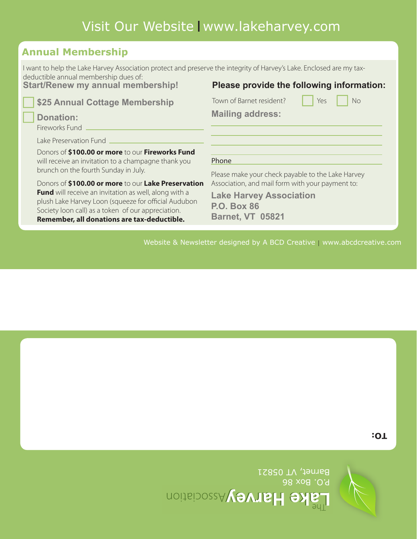

P.O. Box 86 Barnet, VT 05821



**TO:**

Website & Newsletter designed by A BCD Creative  $\mid$  www.abcdcreative.com

**Please provide the following information:**

**\$25 Annual Cottage Membership Donation:** Donors of **\$100.00 or more** to our **Fireworks Fund** will receive an invitation to a champagne thank you brunch on the fourth Sunday in July. Donors of **\$100.00 or more** to our **Lake Preservation Fund** will receive an invitation as well, along with a plush Lake Harvey Loon (squeeze for official Audubon Society loon call) as a token of our appreciation. **Remember, all donations are tax-deductible.** Fireworks Fund Lake Preservation Fund **Mailing address:**  Town of Barnet resident? Thes No Phone Please make your check payable to the Lake Harvey Association, and mail form with your payment to: **Lake Harvey Association P.O. Box 86 Barnet, VT 05821**

Visit Our Website | www.lakeharvey.com

I want to help the Lake Harvey Association protect and preserve the integrity of Harvey's Lake. Enclosed are my tax-

**Annual Membership**

deductible annual membership dues of:

**Start/Renew my annual membership!**